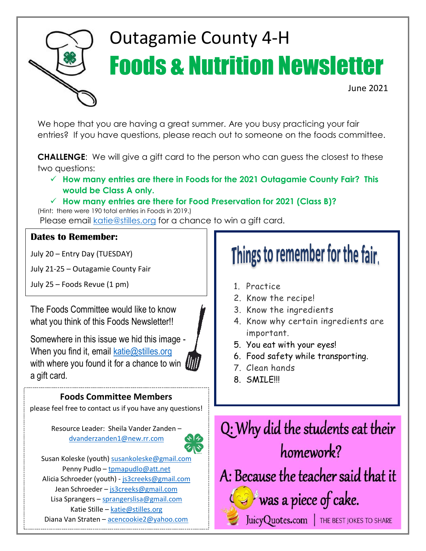

# Outagamie County 4-H Foods & Nutrition Newsletter

June 2021

We hope that you are having a great summer. Are you busy practicing your fair entries? If you have questions, please reach out to someone on the foods committee.

**CHALLENGE**: We will give a gift card to the person who can guess the closest to these two questions:

✓ **How many entries are there in Foods for the 2021 Outagamie County Fair? This would be Class A only.**

### ✓ **How many entries are there for Food Preservation for 2021 (Class B)?**

(Hint: there were 190 total entries in Foods in 2019.) Please email [katie@stilles.org](mailto:katie@stilles.org) for a chance to win a gift card.

### **Dates to Remember:**

July 20 – Entry Day (TUESDAY)

July 21-25 – Outagamie County Fair

July 25 – Foods Revue (1 pm) 1. Practice

The Foods Committee would like to know what you think of this Foods Newsletter!!

Somewhere in this issue we hid this image - When you find it, email  $katic@stilles.org$ with where you found it for a chance to win  $\blacksquare$ a gift card.

### **Foods Committee Members**

please feel free to contact us if you have any questions!

Resource Leader: Sheila Vander Zanden – [dvanderzanden1@new.rr.com](mailto:dvanderzanden1@new.rr.com)



Susan Koleske (youth) [susankoleske@gmail.com](mailto:susankoleske@gmail.com) Penny Pudlo – [tpmapudlo@att.net](mailto:tpmapudlo@att.net) Alicia Schroeder (youth) - [js3creeks@gmail.com](mailto:js3creeks@gmail.com) Jean Schroeder - [js3creeks@gmail.com](mailto:js3creeks@gmail.com) Lisa Sprangers – [sprangerslisa@gmail.com](mailto:sprangerslisa@gmail.com) Katie Stille – [katie@stilles.org](mailto:katie@stilles.org) Diana Van Straten – [acencookie2@yahoo.com](mailto:acencookie2@yahoo.com)

# Things to remember for the fair.

- 
- 2. Know the recipe!
- 3. Know the ingredients
- 4. Know why certain ingredients are important.
- 5. You eat with your eyes!
- 6. Food safety while transporting.
- 7. Clean hands
- 8. SMILE!!!

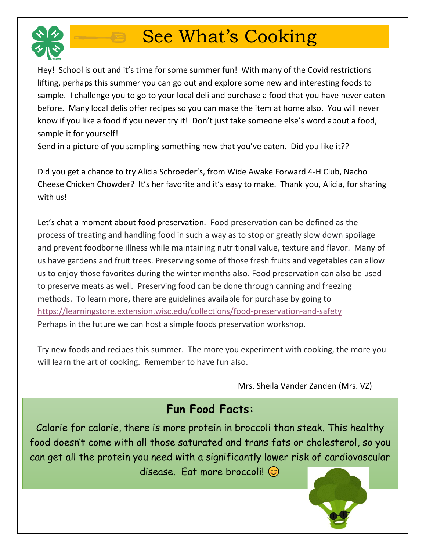

# See What's Cooking

Hey! School is out and it's time for some summer fun! With many of the Covid restrictions lifting, perhaps this summer you can go out and explore some new and interesting foods to sample. I challenge you to go to your local deli and purchase a food that you have never eaten before. Many local delis offer recipes so you can make the item at home also. You will never know if you like a food if you never try it! Don't just take someone else's word about a food, sample it for yourself!

Send in a picture of you sampling something new that you've eaten. Did you like it??

Did you get a chance to try Alicia Schroeder's, from Wide Awake Forward 4-H Club, Nacho Cheese Chicken Chowder? It's her favorite and it's easy to make. Thank you, Alicia, for sharing with us!

Let's chat a moment about food preservation. Food preservation can be defined as the process of treating and handling food in such a way as to stop or greatly slow down spoilage and prevent foodborne illness while maintaining nutritional value, texture and flavor. Many of us have gardens and fruit trees. Preserving some of those fresh fruits and vegetables can allow us to enjoy those favorites during the winter months also. Food preservation can also be used to preserve meats as well. Preserving food can be done through canning and freezing methods. To learn more, there are guidelines available for purchase by going to <https://learningstore.extension.wisc.edu/collections/food-preservation-and-safety> Perhaps in the future we can host a simple foods preservation workshop.

Try new foods and recipes this summer. The more you experiment with cooking, the more you will learn the art of cooking. Remember to have fun also.

Mrs. Sheila Vander Zanden (Mrs. VZ)

# **Fun Food Facts:**

Calorie for calorie, there is more protein in broccoli than steak. This healthy food doesn't come with all those saturated and trans fats or cholesterol, so you can get all the protein you need with a significantly lower risk of cardiovascular disease. Eat more broccoli!  $\odot$ 

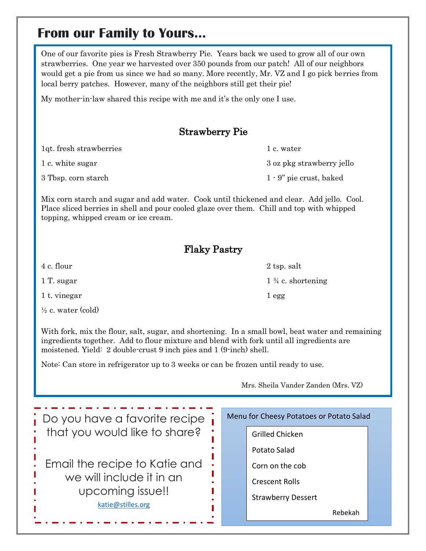# **From our Family to Yours…**

One of our favorite pies is Fresh Strawberry Pie. Years back we used to grow all of our own strawberries. One year we harvested over 350 pounds from our patch! All of our neighbors would get a pie from us since we had so many. More recently, Mr. VZ and I go pick berries from local berry patches. However, many of the neighbors still get their pie!

My mother-in-law shared this recipe with me and it's the only one I use.

## Strawberry Pie

| 1qt. fresh strawberries | 1 c. water                 |
|-------------------------|----------------------------|
| 1 c. white sugar        | 3 oz pkg strawberry jello  |
| 3 Tbsp. corn starch     | $1 - 9$ " pie crust, baked |

Mix corn starch and sugar and add water. Cook until thickened and clear. Add jello. Cool. Place sliced berries in shell and pour cooled glaze over them. Chill and top with whipped topping, whipped cream or ice cream.

### Flaky Pastry

1 t. vinegar 1 egg

 $\frac{1}{2}$  c. water (cold)

With fork, mix the flour, salt, sugar, and shortening. In a small bowl, beat water and remaining ingredients together. Add to flour mixture and blend with fork until all ingredients are moistened. Yield: 2 double-crust 9 inch pies and 1 (9-inch) shell.

Note: Can store in refrigerator up to 3 weeks or can be frozen until ready to use.

Mrs. Sheila Vander Zanden (Mrs. VZ)

| $\frac{1}{1}$ Do you have a favorite recipe |  | Menu for Cheesy Potatoes or Potato Salad |  |
|---------------------------------------------|--|------------------------------------------|--|
| that you would like to share?               |  | Grilled Chicken                          |  |
|                                             |  | Potato Salad                             |  |
| Email the recipe to Katie and               |  | Corn on the cob                          |  |
| we will include it in an                    |  | <b>Crescent Rolls</b>                    |  |
| upcoming issue!!                            |  | <b>Strawberry Dessert</b>                |  |
| katie@stilles.org                           |  | Rebekah                                  |  |
|                                             |  |                                          |  |

1 T. sugar 1  $\frac{3}{4}$  c. shortening

4 c. flour 2 tsp. salt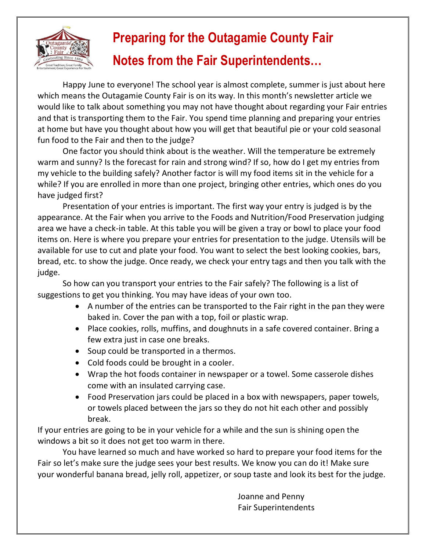

# **Preparing for the Outagamie County Fair Notes from the Fair Superintendents…**

Happy June to everyone! The school year is almost complete, summer is just about here which means the Outagamie County Fair is on its way. In this month's newsletter article we would like to talk about something you may not have thought about regarding your Fair entries and that is transporting them to the Fair. You spend time planning and preparing your entries at home but have you thought about how you will get that beautiful pie or your cold seasonal fun food to the Fair and then to the judge?

One factor you should think about is the weather. Will the temperature be extremely warm and sunny? Is the forecast for rain and strong wind? If so, how do I get my entries from my vehicle to the building safely? Another factor is will my food items sit in the vehicle for a while? If you are enrolled in more than one project, bringing other entries, which ones do you have judged first?

Presentation of your entries is important. The first way your entry is judged is by the appearance. At the Fair when you arrive to the Foods and Nutrition/Food Preservation judging area we have a check-in table. At this table you will be given a tray or bowl to place your food items on. Here is where you prepare your entries for presentation to the judge. Utensils will be available for use to cut and plate your food. You want to select the best looking cookies, bars, bread, etc. to show the judge. Once ready, we check your entry tags and then you talk with the judge.

So how can you transport your entries to the Fair safely? The following is a list of suggestions to get you thinking. You may have ideas of your own too.

- A number of the entries can be transported to the Fair right in the pan they were baked in. Cover the pan with a top, foil or plastic wrap.
- Place cookies, rolls, muffins, and doughnuts in a safe covered container. Bring a few extra just in case one breaks.
- Soup could be transported in a thermos.
- Cold foods could be brought in a cooler.
- Wrap the hot foods container in newspaper or a towel. Some casserole dishes come with an insulated carrying case.
- Food Preservation jars could be placed in a box with newspapers, paper towels, or towels placed between the jars so they do not hit each other and possibly break.

If your entries are going to be in your vehicle for a while and the sun is shining open the windows a bit so it does not get too warm in there.

You have learned so much and have worked so hard to prepare your food items for the Fair so let's make sure the judge sees your best results. We know you can do it! Make sure your wonderful banana bread, jelly roll, appetizer, or soup taste and look its best for the judge.

> Joanne and Penny Fair Superintendents